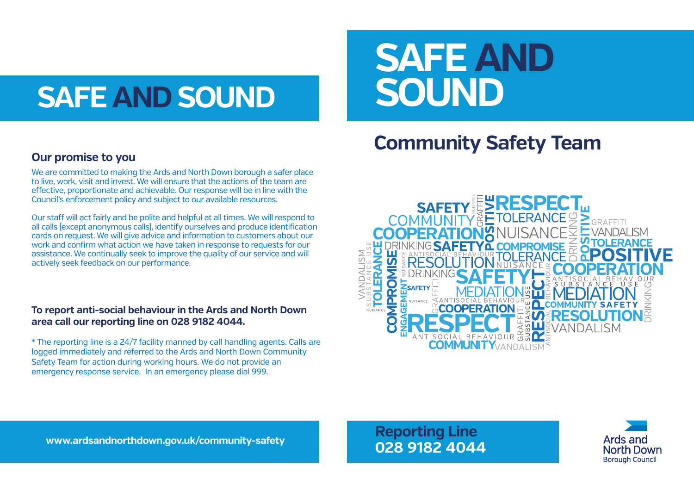# **SAFE AND SOUND**

# **SAFE AND SOUND**

#### **Community Sa Community Safety Team Community Safety Team**

#### **Our promise to you**

We are committed to making the Ards and North Down borough a safer place to live, work, visit and invest. We will ensure that the actions of the team are effective, proportionate and achievable. Our response will be in line with the Council's enforcement policy and subject to our available resources.

Our staff will act fairly and be polite and helpful at all times. We will respond to all calls (except anonymous calls), identify ourselves and produce identification cards on request. We will give advice and information to customers about our work and confirm what action we have taken in response to requests for our assistance. We continually seek to improve the quality of our service and will actively seek feedback on our performance.

#### **To report anti-social behaviour in the Ards and North Down area call our reporting line on 028 9182 4044.**

\* The reporting line is a 24/7 facility manned by call handling agents. Calls are logged immediately and referred to the Ards and North Down Community Safety Team for action during working hours. We do not provide an emergency response service. In an emergency please dial 999.



**Reporting Line 028 9182 4044**